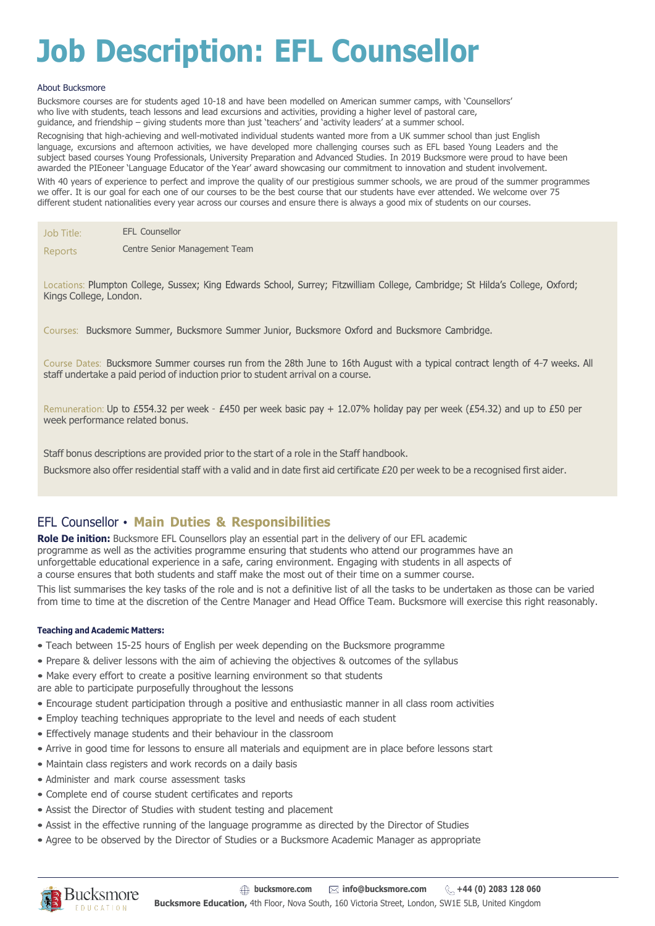# **Job Description: EFL Counsellor**

#### About Bucksmore

Bucksmore courses are for students aged 10-18 and have been modelled on American summer camps, with 'Counsellors' who live with students, teach lessons and lead excursions and activities, providing a higher level of pastoral care, guidance, and friendship – giving students more than just 'teachers' and 'activity leaders' at a summer school. Recognising that high-achieving and well-motivated individual students wanted more from a UK summer school than just English language, excursions and afternoon activities, we have developed more challenging courses such as EFL based Young Leaders and the subject based courses Young Professionals, University Preparation and Advanced Studies. In 2019 Bucksmore were proud to have been awarded the PIEoneer 'Language Educator of the Year' award showcasing our commitment to innovation and student involvement. With 40 years of experience to perfect and improve the quality of our prestigious summer schools, we are proud of the summer programmes we offer. It is our goal for each one of our courses to be the best course that our students have ever attended. We welcome over 75 different student nationalities every year across our courses and ensure there is always a good mix of students on our courses.

| Job Title: | <b>EFL Counsellor</b>         |
|------------|-------------------------------|
| Reports    | Centre Senior Management Team |

Locations: Plumpton College, Sussex; King Edwards School, Surrey; Fitzwilliam College, Cambridge; St Hilda's College, Oxford; Kings College, London.

Courses: Bucksmore Summer, Bucksmore Summer Junior, Bucksmore Oxford and Bucksmore Cambridge.

Course Dates: Bucksmore Summer courses run from the 28th June to 16th August with a typical contract length of 4-7 weeks. All staff undertake a paid period of induction prior to student arrival on a course.

Remuneration: Up to £554.32 per week - £450 per week basic pay + 12.07% holiday pay per week (£54.32) and up to £50 per week performance related bonus.

Staff bonus descriptions are provided prior to the start of a role in the Staff handbook.

Bucksmore also offer residential staff with a valid and in date first aid certificate £20 per week to be a recognised first aider.

#### EFL Counsellor • **Main Duties & Responsibilities**

**Role De inition:** Bucksmore EFL Counsellors play an essential part in the delivery of our EFL academic programme as well as the activities programme ensuring that students who attend our programmes have an unforgettable educational experience in a safe, caring environment. Engaging with students in all aspects of a course ensures that both students and staff make the most out of their time on a summer course.

This list summarises the key tasks of the role and is not a definitive list of all the tasks to be undertaken as those can be varied from time to time at the discretion of the Centre Manager and Head Office Team. Bucksmore will exercise this right reasonably.

#### **Teaching and Academic Matters:**

- Teach between 15-25 hours of English per week depending on the Bucksmore programme
- Prepare & deliver lessons with the aim of achieving the objectives & outcomes of the syllabus
- Make every effort to create a positive learning environment so that students
- are able to participate purposefully throughout the lessons
- Encourage student participation through a positive and enthusiastic manner in all class room activities
- Employ teaching techniques appropriate to the level and needs of each student
- Effectively manage students and their behaviour in the classroom
- Arrive in good time for lessons to ensure all materials and equipment are in place before lessons start
- Maintain class registers and work records on a daily basis
- Administer and mark course assessment tasks
- Complete end of course student certificates and reports
- Assist the Director of Studies with student testing and placement
- Assist in the effective running of the language programme as directed by the Director of Studies
- Agree to be observed by the Director of Studies or a Bucksmore Academic Manager as appropriate

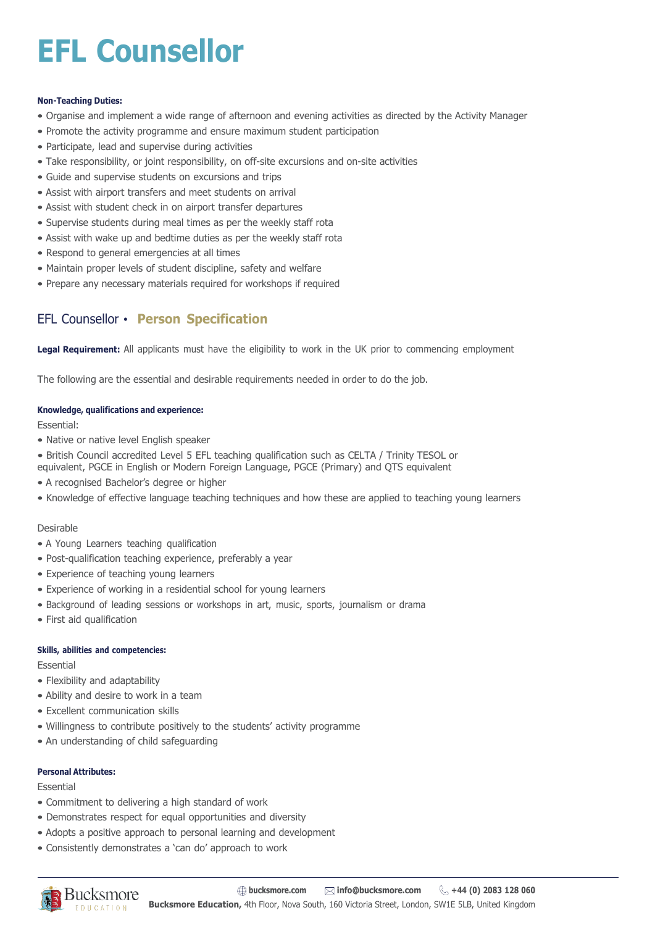# **EFL Counsellor**

#### **Non-Teaching Duties:**

- Organise and implement a wide range of afternoon and evening activities as directed by the Activity Manager
- Promote the activity programme and ensure maximum student participation
- Participate, lead and supervise during activities
- Take responsibility, or joint responsibility, on off-site excursions and on-site activities
- Guide and supervise students on excursions and trips
- Assist with airport transfers and meet students on arrival
- Assist with student check in on airport transfer departures
- Supervise students during meal times as per the weekly staff rota
- Assist with wake up and bedtime duties as per the weekly staff rota
- Respond to general emergencies at all times
- Maintain proper levels of student discipline, safety and welfare
- Prepare any necessary materials required for workshops if required

### EFL Counsellor • **Person Specification**

**Legal Requirement:** All applicants must have the eligibility to work in the UK prior to commencing employment

The following are the essential and desirable requirements needed in order to do the job.

#### **Knowledge, qualifications and experience:**

Essential:

- Native or native level English speaker
- British Council accredited Level 5 EFL teaching qualification such as CELTA / Trinity TESOL or equivalent, PGCE in English or Modern Foreign Language, PGCE (Primary) and QTS equivalent
- A recognised Bachelor's degree or higher
- Knowledge of effective language teaching techniques and how these are applied to teaching young learners

#### Desirable

- A Young Learners teaching qualification
- Post-qualification teaching experience, preferably a year
- Experience of teaching young learners
- Experience of working in a residential school for young learners
- Background of leading sessions or workshops in art, music, sports, journalism or drama
- First aid qualification

#### **Skills, abilities and competencies:**

Essential

- Flexibility and adaptability
- Ability and desire to work in a team
- Excellent communication skills
- Willingness to contribute positively to the students' activity programme
- An understanding of child safeguarding

#### **Personal Attributes:**

Essential

- Commitment to delivering a high standard of work
- Demonstrates respect for equal opportunities and diversity
- Adopts a positive approach to personal learning and development
- Consistently demonstrates a 'can do' approach to work